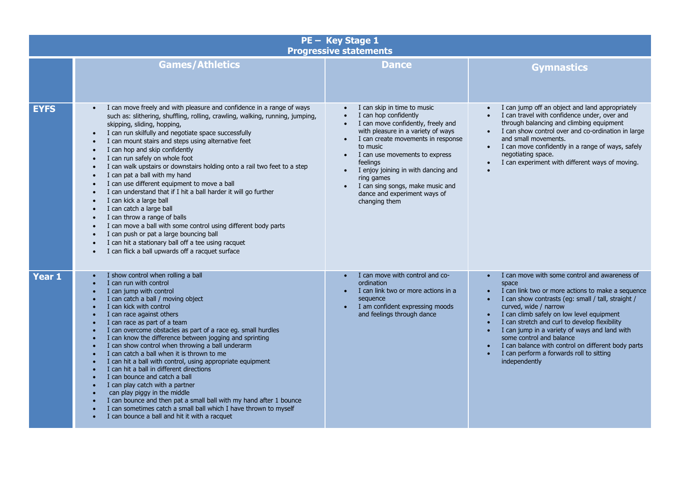| PE - Key Stage 1<br><b>Progressive statements</b> |                                                                                                                                                                                                                                                                                                                                                                                                                                                                                                                                                                                                                                                                                                                                                                                                                                                                                                                                                                |                                                                                                                                                                                                                                                                                                                                                                                                                                |                                                                                                                                                                                                                                                                                                                                                                                                                                                                                                                                              |  |
|---------------------------------------------------|----------------------------------------------------------------------------------------------------------------------------------------------------------------------------------------------------------------------------------------------------------------------------------------------------------------------------------------------------------------------------------------------------------------------------------------------------------------------------------------------------------------------------------------------------------------------------------------------------------------------------------------------------------------------------------------------------------------------------------------------------------------------------------------------------------------------------------------------------------------------------------------------------------------------------------------------------------------|--------------------------------------------------------------------------------------------------------------------------------------------------------------------------------------------------------------------------------------------------------------------------------------------------------------------------------------------------------------------------------------------------------------------------------|----------------------------------------------------------------------------------------------------------------------------------------------------------------------------------------------------------------------------------------------------------------------------------------------------------------------------------------------------------------------------------------------------------------------------------------------------------------------------------------------------------------------------------------------|--|
|                                                   | <b>Games/Athletics</b>                                                                                                                                                                                                                                                                                                                                                                                                                                                                                                                                                                                                                                                                                                                                                                                                                                                                                                                                         | <b>Dance</b>                                                                                                                                                                                                                                                                                                                                                                                                                   | <b>Gymnastics</b>                                                                                                                                                                                                                                                                                                                                                                                                                                                                                                                            |  |
| <b>EYFS</b>                                       | I can move freely and with pleasure and confidence in a range of ways<br>such as: slithering, shuffling, rolling, crawling, walking, running, jumping,<br>skipping, sliding, hopping,<br>I can run skilfully and negotiate space successfully<br>$\bullet$<br>I can mount stairs and steps using alternative feet<br>I can hop and skip confidently<br>I can run safely on whole foot<br>I can walk upstairs or downstairs holding onto a rail two feet to a step<br>$\bullet$<br>I can pat a ball with my hand<br>I can use different equipment to move a ball<br>I can understand that if I hit a ball harder it will go further<br>I can kick a large ball<br>I can catch a large ball<br>$\bullet$<br>I can throw a range of balls<br>I can move a ball with some control using different body parts<br>I can push or pat a large bouncing ball<br>I can hit a stationary ball off a tee using racquet<br>I can flick a ball upwards off a racquet surface | I can skip in time to music<br>I can hop confidently<br>I can move confidently, freely and<br>with pleasure in a variety of ways<br>I can create movements in response<br>$\bullet$<br>to music<br>I can use movements to express<br>$\bullet$<br>feelings<br>I enjoy joining in with dancing and<br>$\bullet$<br>ring games<br>I can sing songs, make music and<br>$\bullet$<br>dance and experiment ways of<br>changing them | I can jump off an object and land appropriately<br>I can travel with confidence under, over and<br>through balancing and climbing equipment<br>I can show control over and co-ordination in large<br>and small movements.<br>I can move confidently in a range of ways, safely<br>$\bullet$<br>negotiating space.<br>I can experiment with different ways of moving.                                                                                                                                                                         |  |
| <b>Year 1</b>                                     | I show control when rolling a ball<br>I can run with control<br>I can jump with control<br>I can catch a ball / moving object<br>I can kick with control<br>I can race against others<br>I can race as part of a team<br>I can overcome obstacles as part of a race eg. small hurdles<br>I can know the difference between jogging and sprinting<br>I can show control when throwing a ball underarm<br>I can catch a ball when it is thrown to me<br>I can hit a ball with control, using appropriate equipment<br>I can hit a ball in different directions<br>I can bounce and catch a ball<br>I can play catch with a partner<br>can play piggy in the middle<br>I can bounce and then pat a small ball with my hand after 1 bounce<br>I can sometimes catch a small ball which I have thrown to myself<br>I can bounce a ball and hit it with a racquet                                                                                                    | I can move with control and co-<br>ordination<br>I can link two or more actions in a<br>$\bullet$<br>sequence<br>I am confident expressing moods<br>$\bullet$<br>and feelings through dance                                                                                                                                                                                                                                    | I can move with some control and awareness of<br>space<br>I can link two or more actions to make a sequence<br>$\bullet$<br>I can show contrasts (eg: small / tall, straight /<br>$\bullet$<br>curved, wide / narrow<br>I can climb safely on low level equipment<br>$\bullet$<br>I can stretch and curl to develop flexibility<br>I can jump in a variety of ways and land with<br>$\bullet$<br>some control and balance<br>I can balance with control on different body parts<br>I can perform a forwards roll to sitting<br>independently |  |